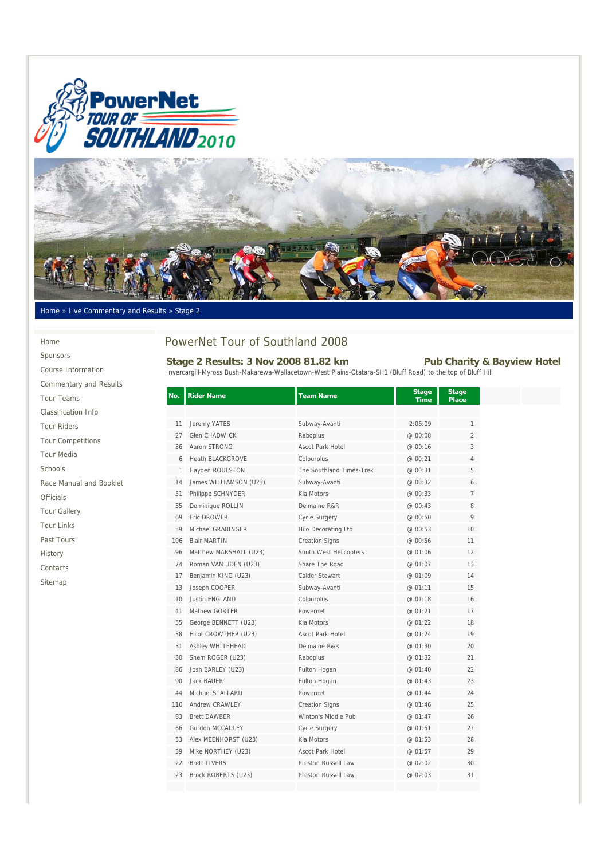



Home » Live Commentary and Results » Stage 2

#### Home

Sponsors Course Information

Commentary and Results Tour Teams Classification Info Tour Riders Tour Competitions Tour Media Schools Race Manual and Booklet Officials Tour Gallery Tour Links Past Tours History Contacts Sitemap

# PowerNet Tour of Southland 2008

## Stage 2 Results: 3 Nov 2008 81.82 km Pub Charity & Bayview Hotel

Invercargill-Myross Bush-Makarewa-Wallacetown-West Plains-Otatara-SH1 (Bluff Road) to the top of Bluff Hill

| No. | <b>Rider Name</b>       | <b>Team Name</b>           | <b>Stage</b><br><b>Time</b> | <b>Stage</b><br><b>Place</b> |
|-----|-------------------------|----------------------------|-----------------------------|------------------------------|
|     |                         |                            |                             |                              |
| 11  | Jeremy YATES            | Subway-Avanti              | 2:06:09                     | $\mathbf{1}$                 |
| 27  | <b>Glen CHADWICK</b>    | Raboplus                   | @ 00:08                     | 2                            |
| 36  | Aaron STRONG            | <b>Ascot Park Hotel</b>    | @ 00:16                     | 3                            |
| 6   | <b>Heath BLACKGROVE</b> | Colourplus                 | @ 00:21                     | 4                            |
| 1   | Hayden ROULSTON         | The Southland Times-Trek   | @ 00:31                     | 5                            |
| 14  | James WILLIAMSON (U23)  | Subway-Avanti              | @ 00:32                     | 6                            |
| 51  | Philippe SCHNYDER       | Kia Motors                 | @ 00:33                     | 7                            |
| 35  | Dominique ROLLIN        | Delmaine R&R               | @ 00:43                     | 8                            |
| 69  | Eric DROWER             | Cycle Surgery              | @00:50                      | 9                            |
| 59  | Michael GRABINGER       | <b>Hilo Decorating Ltd</b> | @ 00:53                     | 10                           |
| 106 | <b>Blair MARTIN</b>     | <b>Creation Signs</b>      | @ 00:56                     | 11                           |
| 96  | Matthew MARSHALL (U23)  | South West Helicopters     | @ 01:06                     | 12                           |
| 74  | Roman VAN UDEN (U23)    | Share The Road             | @ 01:07                     | 13                           |
| 17  | Benjamin KING (U23)     | Calder Stewart             | @ 01:09                     | 14                           |
| 13  | Joseph COOPER           | Subway-Avanti              | @ 01:11                     | 15                           |
| 10  | Justin ENGLAND          | Colourplus                 | @ 01:18                     | 16                           |
| 41  | Mathew GORTER           | Powernet                   | @ 01:21                     | 17                           |
| 55  | George BENNETT (U23)    | Kia Motors                 | @ 01:22                     | 18                           |
| 38  | Elliot CROWTHER (U23)   | Ascot Park Hotel           | @ 01:24                     | 19                           |
| 31  | <b>Ashley WHITEHEAD</b> | Delmaine R&R               | @ 01:30                     | 20                           |
| 30  | Shem ROGER (U23)        | Raboplus                   | @ 01:32                     | 21                           |
| 86  | Josh BARLEY (U23)       | Fulton Hogan               | @ 01:40                     | 22                           |
| 90  | <b>Jack BAUER</b>       | Fulton Hogan               | @ 01:43                     | 23                           |
| 44  | Michael STALLARD        | Powernet                   | @ 01:44                     | 24                           |
| 110 | Andrew CRAWLEY          | <b>Creation Signs</b>      | @ 01:46                     | 25                           |
| 83  | <b>Brett DAWBER</b>     | Winton's Middle Pub        | @ 01:47                     | 26                           |
| 66  | Gordon MCCAULEY         | Cycle Surgery              | @ 01:51                     | 27                           |
| 53  | Alex MEENHORST (U23)    | Kia Motors                 | @ 01:53                     | 28                           |
| 39  | Mike NORTHEY (U23)      | <b>Ascot Park Hotel</b>    | @ 01:57                     | 29                           |
| 22  | <b>Brett TIVERS</b>     | Preston Russell Law        | @ 02:02                     | 30                           |
| 23  | Brock ROBERTS (U23)     | Preston Russell Law        | @ 02:03                     | 31                           |
|     |                         |                            |                             |                              |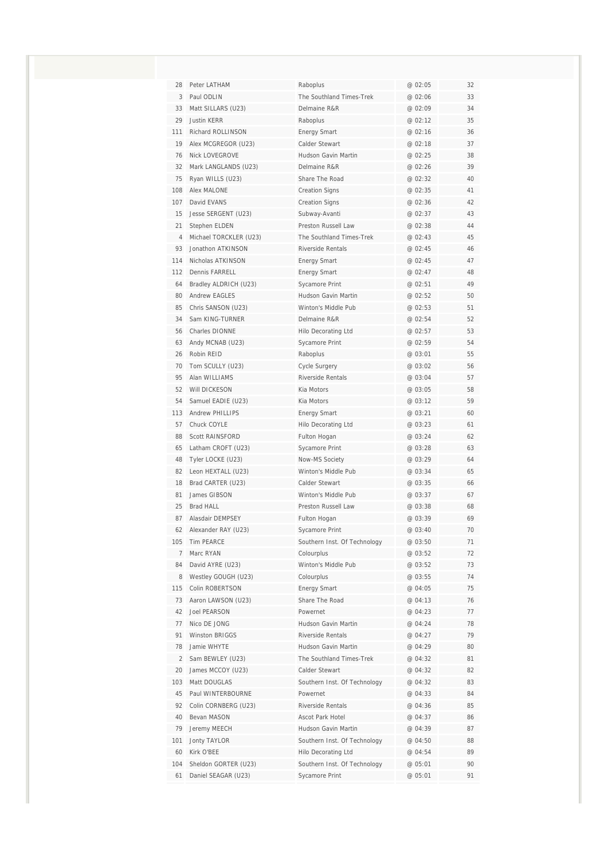| 28<br>3<br>33<br>29<br>111<br>19<br>76<br>32<br>75<br>108<br>107<br>15<br>21<br>$\overline{4}$<br>93<br>114<br>112<br>64<br>80<br>85<br>34<br>56<br>63<br>26<br>70<br>95<br>52<br>54<br>113<br>57<br>88 | Peter LATHAM<br>Paul ODLIN                | Raboplus<br>The Southland Times-Trek            | @ 02:05<br>@ 02:06 | 32<br>33 |
|---------------------------------------------------------------------------------------------------------------------------------------------------------------------------------------------------------|-------------------------------------------|-------------------------------------------------|--------------------|----------|
|                                                                                                                                                                                                         |                                           |                                                 |                    |          |
|                                                                                                                                                                                                         |                                           |                                                 |                    |          |
|                                                                                                                                                                                                         | Matt SILLARS (U23)                        | Delmaine R&R                                    | @ 02:09            | 34       |
|                                                                                                                                                                                                         | <b>Justin KERR</b>                        | Raboplus                                        | @ 02:12            | 35       |
|                                                                                                                                                                                                         | Richard ROLLINSON                         | <b>Energy Smart</b>                             | @ 02:16            | 36       |
|                                                                                                                                                                                                         | Alex MCGREGOR (U23)                       | Calder Stewart                                  | @ 02:18            | 37       |
|                                                                                                                                                                                                         | <b>Nick LOVEGROVE</b>                     | Hudson Gavin Martin                             | @ 02:25            | 38       |
|                                                                                                                                                                                                         | Mark LANGLANDS (U23)                      | Delmaine R&R                                    | @ 02:26            | 39       |
|                                                                                                                                                                                                         | Ryan WILLS (U23)                          | Share The Road                                  | @ 02:32            | 40       |
|                                                                                                                                                                                                         | Alex MALONE                               | <b>Creation Signs</b>                           | @ 02:35            | 41       |
|                                                                                                                                                                                                         | David EVANS                               | <b>Creation Signs</b>                           | @ 02:36            | 42       |
|                                                                                                                                                                                                         | Jesse SERGENT (U23)                       | Subway-Avanti                                   | @ 02:37            | 43       |
|                                                                                                                                                                                                         | Stephen ELDEN                             | Preston Russell Law                             | @ 02:38            | 44       |
|                                                                                                                                                                                                         | Michael TORCKLER (U23)                    | The Southland Times-Trek                        | @ 02:43            | 45       |
|                                                                                                                                                                                                         | Jonathon ATKINSON                         | Riverside Rentals                               | @ 02:45            | 46       |
|                                                                                                                                                                                                         | Nicholas ATKINSON                         | <b>Energy Smart</b>                             | @ 02:45            | 47       |
|                                                                                                                                                                                                         | Dennis FARRELL                            | <b>Energy Smart</b>                             | @ 02:47            | 48       |
|                                                                                                                                                                                                         | Bradley ALDRICH (U23)                     | Sycamore Print                                  | @ 02:51            | 49       |
|                                                                                                                                                                                                         | Andrew FAGLES                             | Hudson Gavin Martin                             | @ 02:52            | 50       |
|                                                                                                                                                                                                         | Chris SANSON (U23)                        | Winton's Middle Pub                             | @ 02:53            | 51       |
|                                                                                                                                                                                                         | Sam KING-TURNER                           | Delmaine R&R                                    | @ 02:54            | 52       |
|                                                                                                                                                                                                         | Charles DIONNE                            | <b>Hilo Decorating Ltd</b>                      | @02:57             | 53       |
|                                                                                                                                                                                                         | Andy MCNAB (U23)                          | Sycamore Print                                  | @ 02:59            | 54       |
|                                                                                                                                                                                                         | Robin REID                                | Raboplus                                        | @ 03:01            | 55       |
|                                                                                                                                                                                                         | Tom SCULLY (U23)                          | Cycle Surgery                                   | @ 03:02            | 56       |
|                                                                                                                                                                                                         | Alan WILLIAMS                             | Riverside Rentals                               | @ 03:04            | 57       |
|                                                                                                                                                                                                         | Will DICKESON                             | Kia Motors                                      | @ 03:05            | 58       |
|                                                                                                                                                                                                         | Samuel EADIE (U23)                        | Kia Motors                                      | @ 03:12            | 59       |
|                                                                                                                                                                                                         | <b>Andrew PHILLIPS</b>                    | <b>Energy Smart</b>                             | @ 03:21            | 60       |
|                                                                                                                                                                                                         | Chuck COYLE                               | <b>Hilo Decorating Ltd</b>                      | @ 03:23            | 61       |
|                                                                                                                                                                                                         | <b>Scott RAINSFORD</b>                    | Fulton Hogan                                    | @ 03:24            | 62       |
| 65                                                                                                                                                                                                      | Latham CROFT (U23)                        | Sycamore Print                                  | @ 03:28            | 63       |
| 48                                                                                                                                                                                                      | Tyler LOCKE (U23)                         | <b>Now-MS Society</b>                           | @ 03:29            | 64       |
| 82                                                                                                                                                                                                      | Leon HEXTALL (U23)                        | Winton's Middle Pub                             | @ 03:34            | 65       |
| 18                                                                                                                                                                                                      | Brad CARTER (U23)                         | Calder Stewart                                  | @ 03:35            | 66       |
| 81                                                                                                                                                                                                      | James GIBSON                              | Winton's Middle Pub                             | @ 03:37            | 67       |
| 25                                                                                                                                                                                                      | <b>Brad HALL</b>                          | Preston Russell Law                             | @ 03:38            | 68       |
| 87                                                                                                                                                                                                      | Alasdair DEMPSEY                          | Fulton Hogan                                    | @ 03:39            | 69       |
| 62                                                                                                                                                                                                      | Alexander RAY (U23)                       | Sycamore Print                                  | @ 03:40            | 70       |
| 105                                                                                                                                                                                                     | Tim PEARCE                                | Southern Inst. Of Technology                    | @ 03:50            | 71       |
| $\overline{7}$                                                                                                                                                                                          | Marc RYAN                                 | Colourplus                                      | @ 03:52            | 72       |
| 84                                                                                                                                                                                                      | David AYRE (U23)                          | Winton's Middle Pub                             | @ 03:52            | 73       |
| 8                                                                                                                                                                                                       | Westley GOUGH (U23)                       | Colourplus                                      | @ 03:55            | 74       |
| 115                                                                                                                                                                                                     | Colin ROBERTSON                           | <b>Energy Smart</b>                             | @ 04:05            | 75       |
| 73                                                                                                                                                                                                      | Aaron LAWSON (U23)<br><b>Joel PEARSON</b> | Share The Road                                  | @ 04:13            | 76       |
| 42                                                                                                                                                                                                      |                                           | Powernet                                        | @ 04:23            | 77       |
| 77<br>91                                                                                                                                                                                                | Nico DE JONG<br><b>Winston BRIGGS</b>     | Hudson Gavin Martin<br><b>Riverside Rentals</b> | @ 04:24<br>@ 04:27 | 78<br>79 |
| 78                                                                                                                                                                                                      | Jamie WHYTE                               | Hudson Gavin Martin                             | @ 04:29            | 80       |
| $\overline{2}$                                                                                                                                                                                          | Sam BEWLEY (U23)                          | The Southland Times-Trek                        | @ 04:32            | 81       |
| 20                                                                                                                                                                                                      | James MCCOY (U23)                         | Calder Stewart                                  | @ 04:32            | 82       |
| 103                                                                                                                                                                                                     | Matt DOUGLAS                              | Southern Inst. Of Technology                    | @ 04:32            | 83       |
| 45                                                                                                                                                                                                      | Paul WINTERBOURNE                         | Powernet                                        | @ 04:33            | 84       |
| 92                                                                                                                                                                                                      | Colin CORNBERG (U23)                      | Riverside Rentals                               | @ 04:36            | 85       |
| 40                                                                                                                                                                                                      | Bevan MASON                               | Ascot Park Hotel                                | @ 04:37            | 86       |
| 79                                                                                                                                                                                                      | Jeremy MEECH                              | Hudson Gavin Martin                             | @ 04:39            | 87       |
| 101                                                                                                                                                                                                     | <b>Jonty TAYLOR</b>                       | Southern Inst. Of Technology                    | @ 04:50            | 88       |
| 60                                                                                                                                                                                                      | Kirk O'BEE                                | Hilo Decorating Ltd                             | @ 04:54            | 89       |
| 104                                                                                                                                                                                                     | Sheldon GORTER (U23)                      | Southern Inst. Of Technology                    | @ 05:01            | 90       |
| 61                                                                                                                                                                                                      |                                           |                                                 |                    |          |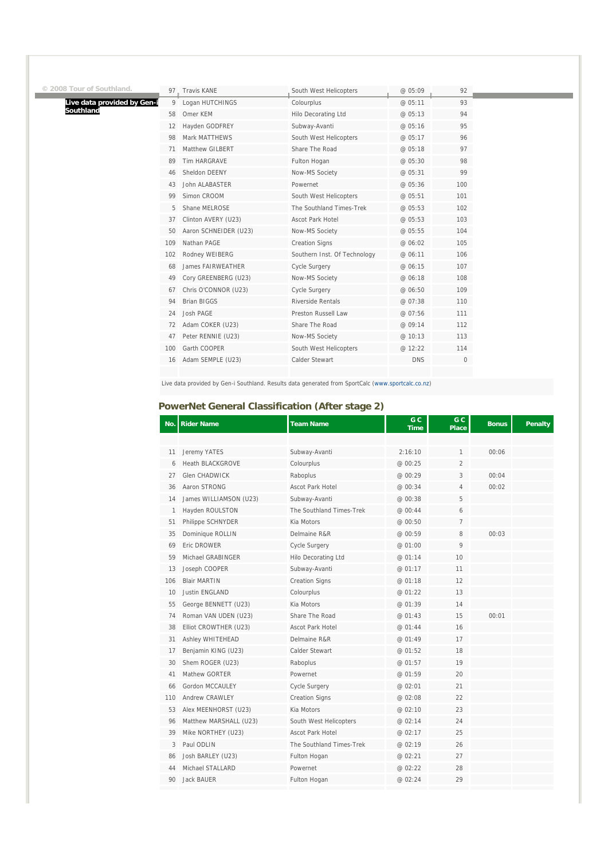| © 2008 Tour of Southland.   |     | 97. Travis KANE       | South West Helicopters       | @ 05:09    | 92          |
|-----------------------------|-----|-----------------------|------------------------------|------------|-------------|
| Live data provided by Gen-i | 9   | Logan HUTCHINGS       | Colourplus                   | @ 05:11    | 93          |
| Southland                   | 58  | Omer KEM              | Hilo Decorating Ltd          | @ 05:13    | 94          |
|                             | 12  | Hayden GODFREY        | Subway-Avanti                | @ 05:16    | 95          |
|                             | 98  | Mark MATTHEWS         | South West Helicopters       | @ 05:17    | 96          |
|                             | 71  | Matthew GILBERT       | Share The Road               | @ 05:18    | 97          |
|                             | 89  | Tim HARGRAVE          | Fulton Hogan                 | @ 05:30    | 98          |
|                             | 46  | Sheldon DEENY         | Now-MS Society               | @ 05:31    | 99          |
|                             | 43  | John ALABASTER        | Powernet                     | @ 05:36    | 100         |
|                             | 99  | Simon CROOM           | South West Helicopters       | @ 05:51    | 101         |
|                             | 5   | Shane MELROSE         | The Southland Times-Trek     | @ 05:53    | 102         |
|                             | 37  | Clinton AVERY (U23)   | Ascot Park Hotel             | @ 05:53    | 103         |
|                             | 50  | Aaron SCHNEIDER (U23) | Now-MS Society               | @ 05:55    | 104         |
|                             | 109 | Nathan PAGE           | <b>Creation Signs</b>        | @ 06:02    | 105         |
|                             | 102 | Rodney WEIBERG        | Southern Inst. Of Technology | @ 06:11    | 106         |
|                             | 68  | James FAIRWEATHER     | <b>Cycle Surgery</b>         | @ 06:15    | 107         |
|                             | 49  | Cory GREENBERG (U23)  | Now-MS Society               | @ 06:18    | 108         |
|                             | 67  | Chris O'CONNOR (U23)  | <b>Cycle Surgery</b>         | @ 06:50    | 109         |
|                             | 94  | <b>Brian BIGGS</b>    | Riverside Rentals            | @ 07:38    | 110         |
|                             | 24  | Josh PAGE             | Preston Russell Law          | @ 07:56    | 111         |
|                             | 72  | Adam COKER (U23)      | Share The Road               | @ 09:14    | 112         |
|                             | 47  | Peter RENNIE (U23)    | Now-MS Society               | @ 10:13    | 113         |
|                             | 100 | Garth COOPER          | South West Helicopters       | @ 12:22    | 114         |
|                             | 16  | Adam SEMPLE (U23)     | Calder Stewart               | <b>DNS</b> | $\mathbf 0$ |
|                             |     |                       |                              |            |             |

Live data provided by Gen-i Southland. Results data generated from SportCalc (www.sportcalc.co.nz)

#### **PowerNet General Classification (After stage 2)**

| No.          | <b>Rider Name</b>       | <b>Team Name</b>         | G C<br><b>Time</b> | G C<br><b>Place</b> | <b>Bonus</b> | <b>Penalty</b> |
|--------------|-------------------------|--------------------------|--------------------|---------------------|--------------|----------------|
|              |                         |                          |                    |                     |              |                |
| 11           | Jeremy YATES            | Subway-Avanti            | 2:16:10            | 1                   | 00:06        |                |
| 6            | <b>Heath BLACKGROVE</b> | Colourplus               | @ 00:25            | 2                   |              |                |
| 27           | <b>Glen CHADWICK</b>    | Raboplus                 | @ 00:29            | 3                   | 00:04        |                |
| 36           | Aaron STRONG            | <b>Ascot Park Hotel</b>  | @ 00:34            | 4                   | 00:02        |                |
| 14           | James WILLIAMSON (U23)  | Subway-Avanti            | @ 00:38            | 5                   |              |                |
| $\mathbf{1}$ | Hayden ROULSTON         | The Southland Times-Trek | @ 00:44            | 6                   |              |                |
| 51           | Philippe SCHNYDER       | Kia Motors               | @ 00:50            | 7                   |              |                |
| 35           | Dominique ROLLIN        | Delmaine R&R             | @ 00:59            | 8                   | 00:03        |                |
| 69           | Eric DROWER             | Cycle Surgery            | @ 01:00            | 9                   |              |                |
| 59           | Michael GRABINGER       | Hilo Decorating Ltd      | @ 01:14            | 10                  |              |                |
| 13           | Joseph COOPER           | Subway-Avanti            | @ 01:17            | 11                  |              |                |
| 106          | <b>Blair MARTIN</b>     | <b>Creation Signs</b>    | @ 01:18            | 12                  |              |                |
| 10           | <b>Justin ENGLAND</b>   | Colourplus               | @ 01:22            | 13                  |              |                |
| 55           | George BENNETT (U23)    | Kia Motors               | @ 01:39            | 14                  |              |                |
| 74           | Roman VAN UDEN (U23)    | Share The Road           | @ 01:43            | 15                  | 00:01        |                |
| 38           | Elliot CROWTHER (U23)   | Ascot Park Hotel         | @ 01:44            | 16                  |              |                |
| 31           | Ashley WHITEHEAD        | Delmaine R&R             | @ 01:49            | 17                  |              |                |
| 17           | Benjamin KING (U23)     | Calder Stewart           | @ 01:52            | 18                  |              |                |
| 30           | Shem ROGER (U23)        | Raboplus                 | @ 01:57            | 19                  |              |                |
| 41           | Mathew GORTER           | Powernet                 | @ 01:59            | 20                  |              |                |
| 66           | Gordon MCCAULEY         | Cycle Surgery            | @ 02:01            | 21                  |              |                |
| 110          | Andrew CRAWLEY          | <b>Creation Signs</b>    | @ 02:08            | 22                  |              |                |
| 53           | Alex MEENHORST (U23)    | Kia Motors               | @ 02:10            | 23                  |              |                |
| 96           | Matthew MARSHALL (U23)  | South West Helicopters   | @ 02:14            | 24                  |              |                |
| 39           | Mike NORTHEY (U23)      | <b>Ascot Park Hotel</b>  | @ 02:17            | 25                  |              |                |
| 3            | Paul ODLIN              | The Southland Times-Trek | @ 02:19            | 26                  |              |                |
| 86           | Josh BARLEY (U23)       | Fulton Hogan             | @ 02:21            | 27                  |              |                |
| 44           | Michael STALLARD        | Powernet                 | @ 02:22            | 28                  |              |                |
| 90           | <b>Jack BAUER</b>       | Fulton Hogan             | @ 02:24            | 29                  |              |                |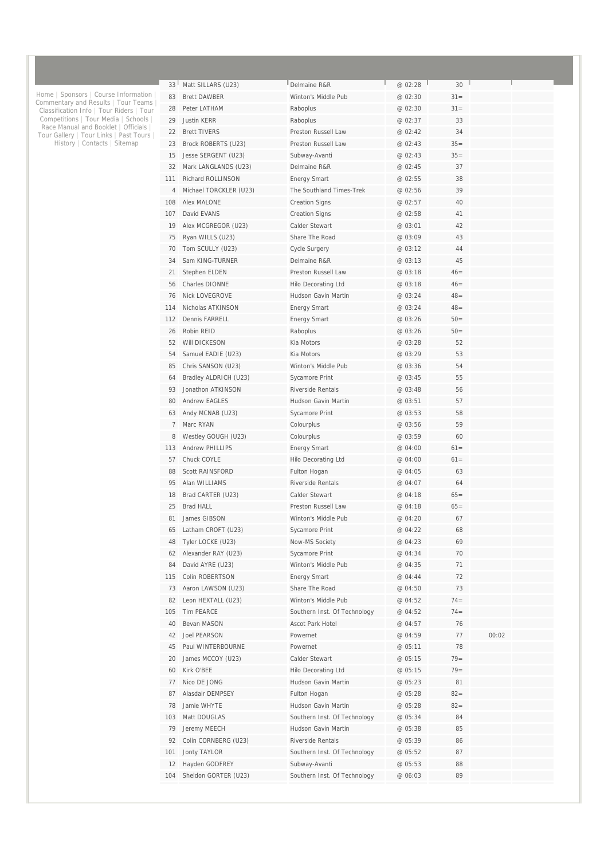| 33 <sup>1</sup> | Matt SILLARS (U23)     | Delmaine R&R                 | @ 02:28 | 30     |       |  |
|-----------------|------------------------|------------------------------|---------|--------|-------|--|
| 83              | <b>Brett DAWBER</b>    | Winton's Middle Pub          | @ 02:30 | $31 =$ |       |  |
| 28              | Peter LATHAM           | Raboplus                     | @ 02:30 | $31 =$ |       |  |
| 29              | Justin KERR            | Raboplus                     | @ 02:37 | 33     |       |  |
| 22              | <b>Brett TIVERS</b>    | Preston Russell Law          | @ 02:42 | 34     |       |  |
| 23              | Brock ROBERTS (U23)    | Preston Russell Law          | @ 02:43 | $35=$  |       |  |
| 15              | Jesse SERGENT (U23)    | Subway-Avanti                | @ 02:43 | $35=$  |       |  |
| 32              | Mark LANGLANDS (U23)   | Delmaine R&R                 | @ 02:45 | 37     |       |  |
| 111             | Richard ROLLINSON      | <b>Energy Smart</b>          | @ 02:55 | 38     |       |  |
| 4               | Michael TORCKLER (U23) | The Southland Times-Trek     | @ 02:56 | 39     |       |  |
| 108             | Alex MALONE            | <b>Creation Signs</b>        | @ 02:57 | 40     |       |  |
| 107             | David EVANS            | <b>Creation Signs</b>        | @ 02:58 | 41     |       |  |
| 19              | Alex MCGREGOR (U23)    | Calder Stewart               | @ 03:01 | 42     |       |  |
| 75              | Ryan WILLS (U23)       | Share The Road               | @ 03:09 | 43     |       |  |
| 70              | Tom SCULLY (U23)       | Cycle Surgery                | @ 03:12 | 44     |       |  |
| 34              | Sam KING-TURNER        | Delmaine R&R                 | @ 03:13 | 45     |       |  |
| 21              | Stephen ELDEN          | Preston Russell Law          | @ 03:18 | $46=$  |       |  |
| 56              | Charles DIONNE         | Hilo Decorating Ltd          | @ 03:18 | $46=$  |       |  |
| 76              | <b>Nick LOVEGROVE</b>  | Hudson Gavin Martin          | @ 03:24 | $48 =$ |       |  |
| 114             | Nicholas ATKINSON      | <b>Energy Smart</b>          | @ 03:24 | $48 =$ |       |  |
| 112             | <b>Dennis FARRELL</b>  | <b>Energy Smart</b>          | @ 03:26 | $50=$  |       |  |
| 26              | Robin REID             | Raboplus                     | @ 03:26 | $50=$  |       |  |
| 52              | Will DICKESON          | Kia Motors                   | @ 03:28 | 52     |       |  |
| 54              | Samuel EADIE (U23)     | Kia Motors                   | @ 03:29 | 53     |       |  |
| 85              | Chris SANSON (U23)     | Winton's Middle Pub          | @ 03:36 | 54     |       |  |
| 64              | Bradley ALDRICH (U23)  | Sycamore Print               | @ 03:45 | 55     |       |  |
| 93              | Jonathon ATKINSON      | <b>Riverside Rentals</b>     | @ 03:48 | 56     |       |  |
| 80              | <b>Andrew EAGLES</b>   | Hudson Gavin Martin          | @ 03:51 | 57     |       |  |
| 63              | Andy MCNAB (U23)       | Sycamore Print               | @ 03:53 | 58     |       |  |
| 7               | Marc RYAN              | Colourplus                   | @ 03:56 | 59     |       |  |
| 8               | Westley GOUGH (U23)    | Colourplus                   | @ 03:59 | 60     |       |  |
| 113             | <b>Andrew PHILLIPS</b> | <b>Energy Smart</b>          | @ 04:00 | $61 =$ |       |  |
| 57              | Chuck COYLE            | Hilo Decorating Ltd          | @ 04:00 | $61 =$ |       |  |
| 88              | <b>Scott RAINSFORD</b> | Fulton Hogan                 | @ 04:05 | 63     |       |  |
| 95              | Alan WILLIAMS          | <b>Riverside Rentals</b>     | @ 04:07 | 64     |       |  |
| 18              | Brad CARTER (U23)      | Calder Stewart               | @ 04:18 | $65=$  |       |  |
| 25              | <b>Brad HALL</b>       | Preston Russell Law          | @ 04:18 | $65=$  |       |  |
| 81              | James GIBSON           | Winton's Middle Pub          | @ 04:20 | 67     |       |  |
| 65              | Latham CROFT (U23)     | Sycamore Print               | @ 04:22 | 68     |       |  |
| 48              | Tyler LOCKE (U23)      | Now-MS Society               | @ 04:23 | 69     |       |  |
| 62              | Alexander RAY (U23)    | Sycamore Print               | @ 04:34 | 70     |       |  |
| 84              | David AYRE (U23)       | Winton's Middle Pub          | @ 04:35 | 71     |       |  |
| 115             | Colin ROBERTSON        | <b>Energy Smart</b>          | @ 04:44 | 72     |       |  |
| 73              | Aaron LAWSON (U23)     | Share The Road               | @ 04:50 | 73     |       |  |
| 82              | Leon HEXTALL (U23)     | Winton's Middle Pub          | @ 04:52 | $74 =$ |       |  |
| 105             | Tim PEARCE             | Southern Inst. Of Technology | @ 04:52 | $74 =$ |       |  |
| 40              | Bevan MASON            | Ascot Park Hotel             | @ 04:57 | 76     |       |  |
| 42              | Joel PEARSON           | Powernet                     | @ 04:59 | 77     | 00:02 |  |
| 45              | Paul WINTERBOURNE      | Powernet                     | @ 05:11 | 78     |       |  |
| 20              | James MCCOY (U23)      | Calder Stewart               | @ 05:15 | $79 =$ |       |  |
| 60              | Kirk O'BEE             | Hilo Decorating Ltd          | @ 05:15 | $79 =$ |       |  |
| 77              | Nico DE JONG           | Hudson Gavin Martin          | @ 05:23 | 81     |       |  |
| 87              | Alasdair DEMPSEY       | Fulton Hogan                 | @ 05:28 | $82 =$ |       |  |
|                 |                        |                              |         |        |       |  |
| 78              | Jamie WHYTE            | Hudson Gavin Martin          | @ 05:28 | $82 =$ |       |  |
| 103             | Matt DOUGLAS           | Southern Inst. Of Technology | @ 05:34 | 84     |       |  |
| 79              | Jeremy MEECH           | Hudson Gavin Martin          | @ 05:38 | 85     |       |  |
| 92              | Colin CORNBERG (U23)   | Riverside Rentals            | @ 05:39 | 86     |       |  |
| 101             | Jonty TAYLOR           | Southern Inst. Of Technology | @ 05:52 | 87     |       |  |
| 12              | Hayden GODFREY         | Subway-Avanti                | @ 05:53 | 88     |       |  |
| 104             | Sheldon GORTER (U23)   | Southern Inst. Of Technology | @ 06:03 | 89     |       |  |

Home | Sponsors | Course Information | Commentary and Results | Tour Teams | Classification Info | Tour Riders | Tour Competitions | Tour Media | Schools | Race Manual and Booklet | Officials | Tour Gallery | Tour Links | Past Tours | History | Contacts | Sitemap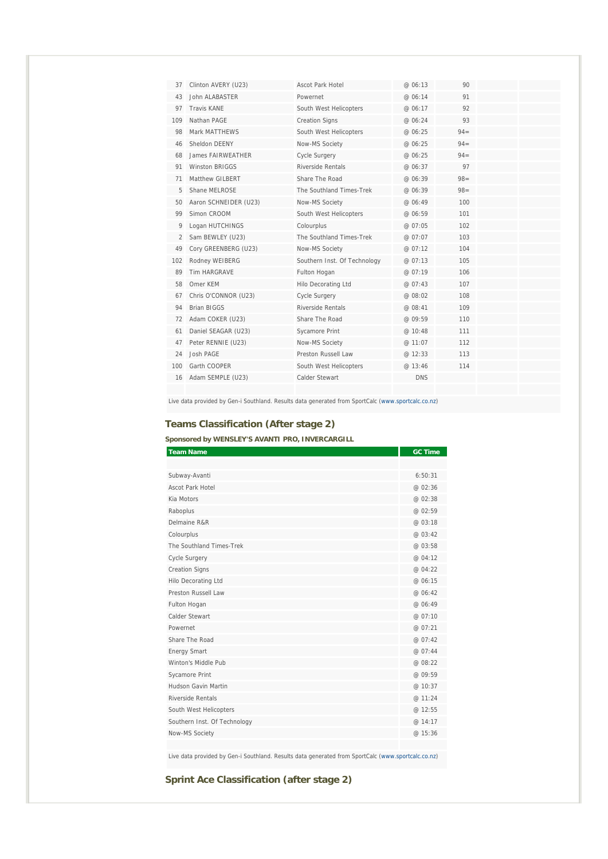| 37  | Clinton AVERY (U23)   | Ascot Park Hotel             | @ 06:13    | 90     |  |
|-----|-----------------------|------------------------------|------------|--------|--|
| 43  | John ALABASTER        | Powernet                     | @ 06:14    | 91     |  |
| 97  | <b>Travis KANF</b>    | South West Helicopters       | @ 06:17    | 92     |  |
| 109 | Nathan PAGE           | <b>Creation Signs</b>        | @ 06:24    | 93     |  |
| 98  | Mark MATTHEWS         | South West Helicopters       | @ 06:25    | $94 =$ |  |
| 46  | Sheldon DFFNY         | Now-MS Society               | @ 06:25    | $94 =$ |  |
| 68  | James FAIRWEATHER     | Cycle Surgery                | @ 06:25    | $94 =$ |  |
| 91  | Winston BRIGGS        | Riverside Rentals            | @ 06:37    | 97     |  |
| 71  | Matthew GILBERT       | Share The Road               | @ 06:39    | $98 =$ |  |
| 5   | Shane MELROSE         | The Southland Times-Trek     | @ 06:39    | $98 =$ |  |
| 50  | Aaron SCHNEIDER (U23) | Now-MS Society               | @ 06:49    | 100    |  |
| 99  | Simon CROOM           | South West Helicopters       | @ 06:59    | 101    |  |
| 9   | Logan HUTCHINGS       | Colourplus                   | @ 07:05    | 102    |  |
| 2   | Sam BEWLEY (U23)      | The Southland Times-Trek     | @ 07:07    | 103    |  |
| 49  | Cory GREENBERG (U23)  | Now-MS Society               | @ 07:12    | 104    |  |
| 102 | Rodney WEIBERG        | Southern Inst. Of Technology | @07:13     | 105    |  |
| 89  | <b>Tim HARGRAVE</b>   | Fulton Hogan                 | @ 07:19    | 106    |  |
| 58  | Omer KEM              | Hilo Decorating Ltd          | @ 07:43    | 107    |  |
| 67  | Chris O'CONNOR (U23)  | <b>Cycle Surgery</b>         | @ 08:02    | 108    |  |
| 94  | <b>Brian BIGGS</b>    | Riverside Rentals            | @ 08:41    | 109    |  |
| 72  | Adam COKER (U23)      | Share The Road               | @ 09:59    | 110    |  |
| 61  | Daniel SEAGAR (U23)   | Sycamore Print               | @ 10:48    | 111    |  |
| 47  | Peter RENNIE (U23)    | Now-MS Society               | @ 11:07    | 112    |  |
| 24  | Josh PAGE             | Preston Russell Law          | @ 12:33    | 113    |  |
| 100 | Garth COOPER          | South West Helicopters       | @13:46     | 114    |  |
| 16  | Adam SEMPLE (U23)     | Calder Stewart               | <b>DNS</b> |        |  |
|     |                       |                              |            |        |  |

Live data provided by Gen-i Southland. Results data generated from SportCalc (www.sportcalc.co.nz)

## **Teams Classification (After stage 2)**

### **Sponsored by WENSLEY'S AVANTI PRO, INVERCARGILL**

| <b>Team Name</b>             | <b>GC Time</b> |
|------------------------------|----------------|
|                              |                |
| Subway-Avanti                | 6:50:31        |
| Ascot Park Hotel             | @ 02:36        |
| Kia Motors                   | @ 02:38        |
| Raboplus                     | @ 02:59        |
| Delmaine R&R                 | @ 03:18        |
| Colourplus                   | @03:42         |
| The Southland Times-Trek     | @ 03:58        |
| Cycle Surgery                | @ 04:12        |
| <b>Creation Signs</b>        | @ 04:22        |
| Hilo Decorating Ltd          | @ 06:15        |
| Preston Russell Law          | @ 06:42        |
| Fulton Hogan                 | @ 06:49        |
| Calder Stewart               | @ 07:10        |
| Powernet                     | @ 07:21        |
| Share The Road               | @ $07.42$      |
| <b>Energy Smart</b>          | @ 07:44        |
| Winton's Middle Pub          | @ 08:22        |
| <b>Sycamore Print</b>        | @ 09:59        |
| Hudson Gavin Martin          | @ 10:37        |
| Riverside Rentals            | @ 11:24        |
| South West Helicopters       | @ 12:55        |
| Southern Inst. Of Technology | @ 14:17        |
| Now-MS Society               | @ 15:36        |
|                              |                |

Live data provided by Gen-i Southland. Results data generated from SportCalc (www.sportcalc.co.nz)

## **Sprint Ace Classification (after stage 2)**